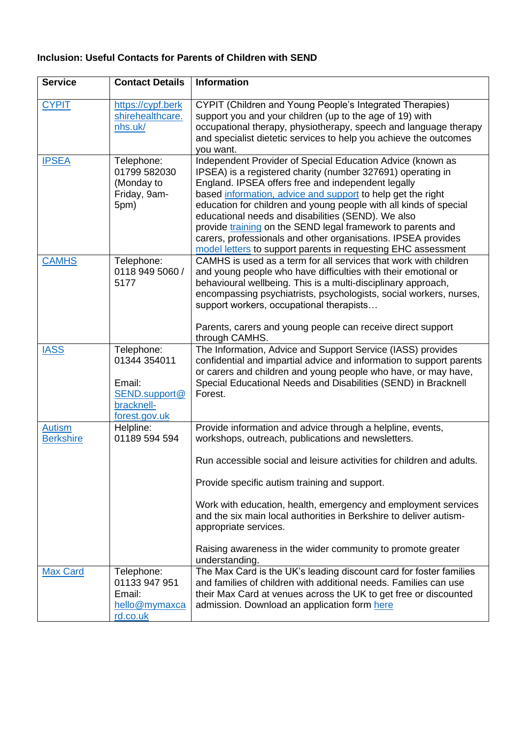## **Inclusion: Useful Contacts for Parents of Children with SEND**

| <b>Service</b>                    | <b>Contact Details</b>                                                               | Information                                                                                                                                                                                                                                                                                                                                                                                                                                                                                                                                                                |
|-----------------------------------|--------------------------------------------------------------------------------------|----------------------------------------------------------------------------------------------------------------------------------------------------------------------------------------------------------------------------------------------------------------------------------------------------------------------------------------------------------------------------------------------------------------------------------------------------------------------------------------------------------------------------------------------------------------------------|
| <b>CYPIT</b>                      | https://cypf.berk<br>shirehealthcare.<br>nhs.uk/                                     | <b>CYPIT (Children and Young People's Integrated Therapies)</b><br>support you and your children (up to the age of 19) with<br>occupational therapy, physiotherapy, speech and language therapy<br>and specialist dietetic services to help you achieve the outcomes<br>you want.                                                                                                                                                                                                                                                                                          |
| <b>IPSEA</b>                      | Telephone:<br>01799 582030<br>(Monday to<br>Friday, 9am-<br>5pm)                     | Independent Provider of Special Education Advice (known as<br>IPSEA) is a registered charity (number 327691) operating in<br>England. IPSEA offers free and independent legally<br>based information, advice and support to help get the right<br>education for children and young people with all kinds of special<br>educational needs and disabilities (SEND). We also<br>provide training on the SEND legal framework to parents and<br>carers, professionals and other organisations. IPSEA provides<br>model letters to support parents in requesting EHC assessment |
| <b>CAMHS</b>                      | Telephone:<br>0118 949 5060 /<br>5177                                                | CAMHS is used as a term for all services that work with children<br>and young people who have difficulties with their emotional or<br>behavioural wellbeing. This is a multi-disciplinary approach,<br>encompassing psychiatrists, psychologists, social workers, nurses,<br>support workers, occupational therapists<br>Parents, carers and young people can receive direct support<br>through CAMHS.                                                                                                                                                                     |
| <b>IASS</b>                       | Telephone:<br>01344 354011<br>Email:<br>SEND.support@<br>bracknell-<br>forest.gov.uk | The Information, Advice and Support Service (IASS) provides<br>confidential and impartial advice and information to support parents<br>or carers and children and young people who have, or may have,<br>Special Educational Needs and Disabilities (SEND) in Bracknell<br>Forest.                                                                                                                                                                                                                                                                                         |
| <b>Autism</b><br><b>Berkshire</b> | Helpline:<br>01189 594 594                                                           | Provide information and advice through a helpline, events,<br>workshops, outreach, publications and newsletters.<br>Run accessible social and leisure activities for children and adults.<br>Provide specific autism training and support.<br>Work with education, health, emergency and employment services<br>and the six main local authorities in Berkshire to deliver autism-<br>appropriate services.                                                                                                                                                                |
|                                   |                                                                                      | Raising awareness in the wider community to promote greater<br>understanding.                                                                                                                                                                                                                                                                                                                                                                                                                                                                                              |
| <b>Max Card</b>                   | Telephone:<br>01133 947 951<br>Email:<br>hello@mymaxca<br>rd.co.uk                   | The Max Card is the UK's leading discount card for foster families<br>and families of children with additional needs. Families can use<br>their Max Card at venues across the UK to get free or discounted<br>admission. Download an application form here                                                                                                                                                                                                                                                                                                                 |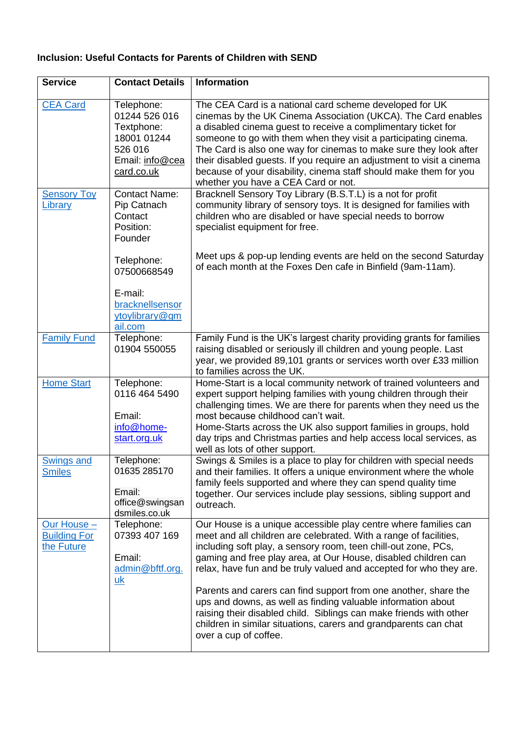## **Inclusion: Useful Contacts for Parents of Children with SEND**

| <b>Service</b>                                   | <b>Contact Details</b>                                                                               | <b>Information</b>                                                                                                                                                                                                                                                                                                                                                                                                                                                                                                                                                                                                                                   |
|--------------------------------------------------|------------------------------------------------------------------------------------------------------|------------------------------------------------------------------------------------------------------------------------------------------------------------------------------------------------------------------------------------------------------------------------------------------------------------------------------------------------------------------------------------------------------------------------------------------------------------------------------------------------------------------------------------------------------------------------------------------------------------------------------------------------------|
| <b>CEA Card</b>                                  | Telephone:<br>01244 526 016<br>Textphone:<br>18001 01244<br>526 016<br>Email: info@cea<br>card.co.uk | The CEA Card is a national card scheme developed for UK<br>cinemas by the UK Cinema Association (UKCA). The Card enables<br>a disabled cinema guest to receive a complimentary ticket for<br>someone to go with them when they visit a participating cinema.<br>The Card is also one way for cinemas to make sure they look after<br>their disabled guests. If you require an adjustment to visit a cinema<br>because of your disability, cinema staff should make them for you<br>whether you have a CEA Card or not.                                                                                                                               |
| <b>Sensory Toy</b><br>Library                    | <b>Contact Name:</b><br>Pip Catnach<br>Contact<br>Position:<br>Founder                               | Bracknell Sensory Toy Library (B.S.T.L) is a not for profit<br>community library of sensory toys. It is designed for families with<br>children who are disabled or have special needs to borrow<br>specialist equipment for free.                                                                                                                                                                                                                                                                                                                                                                                                                    |
|                                                  | Telephone:<br>07500668549<br>E-mail:<br>bracknellsensor<br>ytoylibrary@gm<br>ail.com                 | Meet ups & pop-up lending events are held on the second Saturday<br>of each month at the Foxes Den cafe in Binfield (9am-11am).                                                                                                                                                                                                                                                                                                                                                                                                                                                                                                                      |
| <b>Family Fund</b>                               | Telephone:<br>01904 550055                                                                           | Family Fund is the UK's largest charity providing grants for families<br>raising disabled or seriously ill children and young people. Last<br>year, we provided 89,101 grants or services worth over £33 million<br>to families across the UK.                                                                                                                                                                                                                                                                                                                                                                                                       |
| <b>Home Start</b>                                | Telephone:<br>0116 464 5490<br>Email:<br>info@home-<br>start.org.uk                                  | Home-Start is a local community network of trained volunteers and<br>expert support helping families with young children through their<br>challenging times. We are there for parents when they need us the<br>most because childhood can't wait.<br>Home-Starts across the UK also support families in groups, hold<br>day trips and Christmas parties and help access local services, as<br>well as lots of other support.                                                                                                                                                                                                                         |
| Swings and<br><b>Smiles</b>                      | Telephone:<br>01635 285170<br>Email:<br>office@swingsan<br>dsmiles.co.uk                             | Swings & Smiles is a place to play for children with special needs<br>and their families. It offers a unique environment where the whole<br>family feels supported and where they can spend quality time<br>together. Our services include play sessions, sibling support and<br>outreach.                                                                                                                                                                                                                                                                                                                                                           |
| Our House -<br><b>Building For</b><br>the Future | Telephone:<br>07393 407 169<br>Email:<br>admin@bftf.org.<br>$\underline{\mathsf{u}\mathsf{k}}$       | Our House is a unique accessible play centre where families can<br>meet and all children are celebrated. With a range of facilities,<br>including soft play, a sensory room, teen chill-out zone, PCs,<br>gaming and free play area, at Our House, disabled children can<br>relax, have fun and be truly valued and accepted for who they are.<br>Parents and carers can find support from one another, share the<br>ups and downs, as well as finding valuable information about<br>raising their disabled child. Siblings can make friends with other<br>children in similar situations, carers and grandparents can chat<br>over a cup of coffee. |